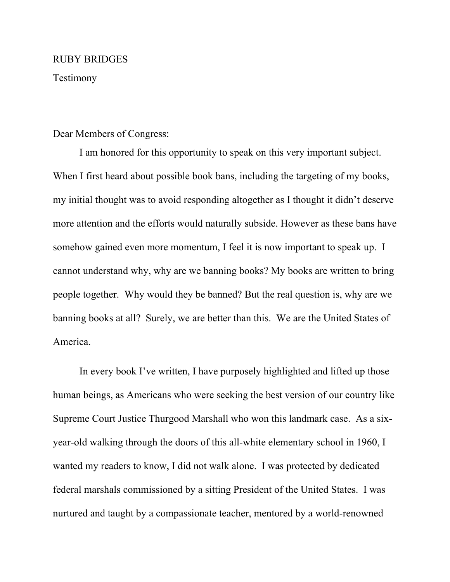## RUBY BRIDGES

Testimony

## Dear Members of Congress:

I am honored for this opportunity to speak on this very important subject. When I first heard about possible book bans, including the targeting of my books, my initial thought was to avoid responding altogether as I thought it didn't deserve more attention and the efforts would naturally subside. However as these bans have somehow gained even more momentum, I feel it is now important to speak up. I cannot understand why, why are we banning books? My books are written to bring people together. Why would they be banned? But the real question is, why are we banning books at all? Surely, we are better than this. We are the United States of America.

In every book I've written, I have purposely highlighted and lifted up those human beings, as Americans who were seeking the best version of our country like Supreme Court Justice Thurgood Marshall who won this landmark case. As a sixyear-old walking through the doors of this all-white elementary school in 1960, I wanted my readers to know, I did not walk alone. I was protected by dedicated federal marshals commissioned by a sitting President of the United States. I was nurtured and taught by a compassionate teacher, mentored by a world-renowned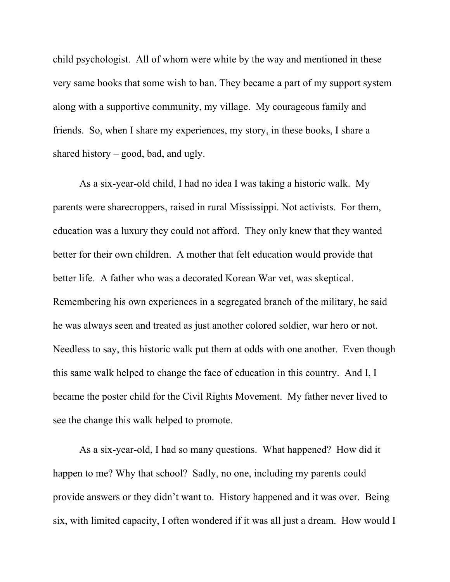child psychologist. All of whom were white by the way and mentioned in these very same books that some wish to ban. They became a part of my support system along with a supportive community, my village. My courageous family and friends. So, when I share my experiences, my story, in these books, I share a shared history – good, bad, and ugly.

As a six-year-old child, I had no idea I was taking a historic walk. My parents were sharecroppers, raised in rural Mississippi. Not activists. For them, education was a luxury they could not afford. They only knew that they wanted better for their own children. A mother that felt education would provide that better life. A father who was a decorated Korean War vet, was skeptical. Remembering his own experiences in a segregated branch of the military, he said he was always seen and treated as just another colored soldier, war hero or not. Needless to say, this historic walk put them at odds with one another. Even though this same walk helped to change the face of education in this country. And I, I became the poster child for the Civil Rights Movement. My father never lived to see the change this walk helped to promote.

As a six-year-old, I had so many questions. What happened? How did it happen to me? Why that school? Sadly, no one, including my parents could provide answers or they didn't want to. History happened and it was over. Being six, with limited capacity, I often wondered if it was all just a dream. How would I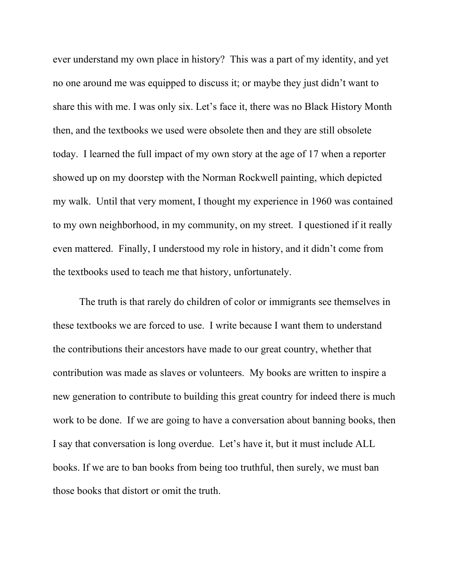ever understand my own place in history? This was a part of my identity, and yet no one around me was equipped to discuss it; or maybe they just didn't want to share this with me. I was only six. Let's face it, there was no Black History Month then, and the textbooks we used were obsolete then and they are still obsolete today. I learned the full impact of my own story at the age of 17 when a reporter showed up on my doorstep with the Norman Rockwell painting, which depicted my walk. Until that very moment, I thought my experience in 1960 was contained to my own neighborhood, in my community, on my street. I questioned if it really even mattered. Finally, I understood my role in history, and it didn't come from the textbooks used to teach me that history, unfortunately.

The truth is that rarely do children of color or immigrants see themselves in these textbooks we are forced to use. I write because I want them to understand the contributions their ancestors have made to our great country, whether that contribution was made as slaves or volunteers. My books are written to inspire a new generation to contribute to building this great country for indeed there is much work to be done. If we are going to have a conversation about banning books, then I say that conversation is long overdue. Let's have it, but it must include ALL books. If we are to ban books from being too truthful, then surely, we must ban those books that distort or omit the truth.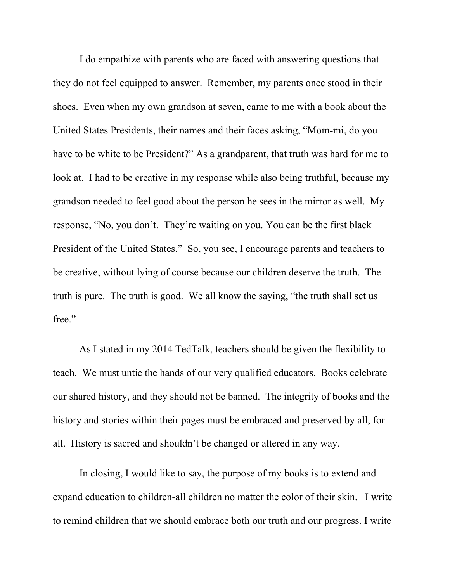I do empathize with parents who are faced with answering questions that they do not feel equipped to answer. Remember, my parents once stood in their shoes. Even when my own grandson at seven, came to me with a book about the United States Presidents, their names and their faces asking, "Mom-mi, do you have to be white to be President?" As a grandparent, that truth was hard for me to look at. I had to be creative in my response while also being truthful, because my grandson needed to feel good about the person he sees in the mirror as well. My response, "No, you don't. They're waiting on you. You can be the first black President of the United States." So, you see, I encourage parents and teachers to be creative, without lying of course because our children deserve the truth. The truth is pure. The truth is good. We all know the saying, "the truth shall set us free."

As I stated in my 2014 TedTalk, teachers should be given the flexibility to teach. We must untie the hands of our very qualified educators. Books celebrate our shared history, and they should not be banned. The integrity of books and the history and stories within their pages must be embraced and preserved by all, for all. History is sacred and shouldn't be changed or altered in any way.

In closing, I would like to say, the purpose of my books is to extend and expand education to children-all children no matter the color of their skin. I write to remind children that we should embrace both our truth and our progress. I write